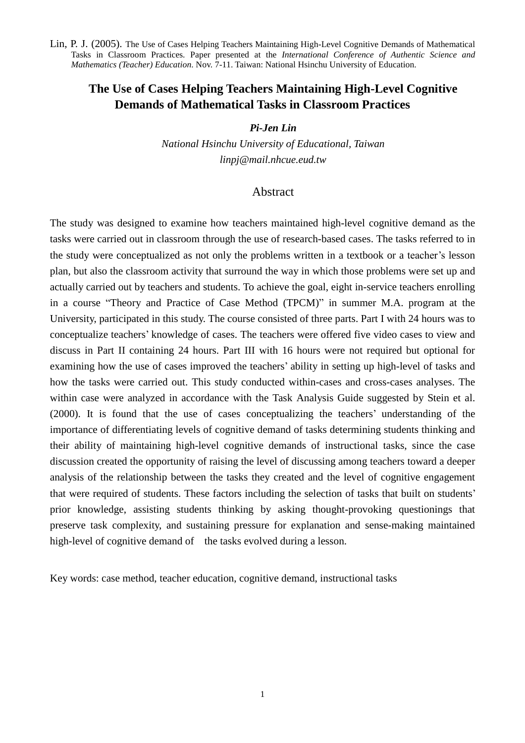# **The Use of Cases Helping Teachers Maintaining High-Level Cognitive Demands of Mathematical Tasks in Classroom Practices**

# *Pi-Jen Lin*

*National Hsinchu University of Educational, Taiwan linpj@mail.nhcue.eud.tw*

# Abstract

The study was designed to examine how teachers maintained high-level cognitive demand as the tasks were carried out in classroom through the use of research-based cases. The tasks referred to in the study were conceptualized as not only the problems written in a textbook or a teacher's lesson plan, but also the classroom activity that surround the way in which those problems were set up and actually carried out by teachers and students. To achieve the goal, eight in-service teachers enrolling in a course "Theory and Practice of Case Method (TPCM)"in summer M.A. program at the University, participated in this study. The course consisted of three parts. Part I with 24 hours was to conceptualize teachers'knowledge of cases. The teachers were offered five video cases to view and discuss in Part II containing 24 hours. Part III with 16 hours were not required but optional for examining how the use of cases improved the teachers'ability in setting up high-level of tasks and how the tasks were carried out. This study conducted within-cases and cross-cases analyses. The within case were analyzed in accordance with the Task Analysis Guide suggested by Stein et al. (2000). It is found that the use of cases conceptualizing the teachers'understanding of the importance of differentiating levels of cognitive demand of tasks determining students thinking and their ability of maintaining high-level cognitive demands of instructional tasks, since the case discussion created the opportunity of raising the level of discussing among teachers toward a deeper analysis of the relationship between the tasks they created and the level of cognitive engagement that were required of students. These factors including the selection of tasks that built on students' prior knowledge, assisting students thinking by asking thought-provoking questionings that preserve task complexity, and sustaining pressure for explanation and sense-making maintained high-level of cognitive demand of the tasks evolved during a lesson.

Key words: case method, teacher education, cognitive demand, instructional tasks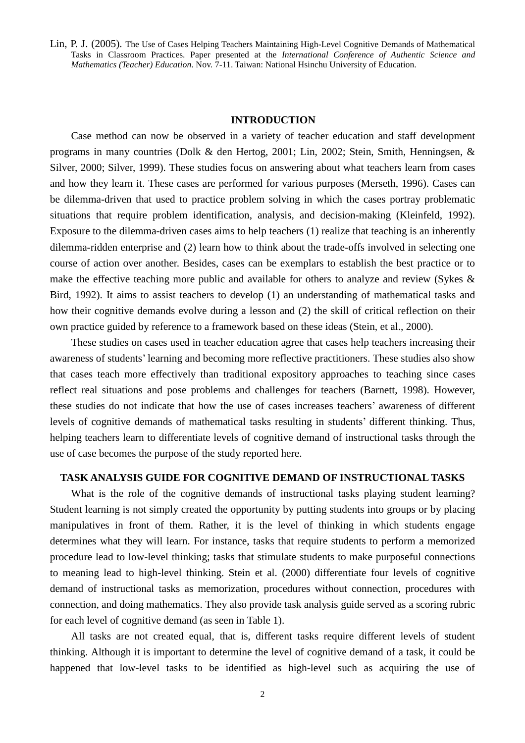#### **INTRODUCTION**

Case method can now be observed in a variety of teacher education and staff development programs in many countries (Dolk & den Hertog, 2001; Lin, 2002; Stein, Smith, Henningsen, & Silver, 2000; Silver, 1999). These studies focus on answering about what teachers learn from cases and how they learn it. These cases are performed for various purposes (Merseth, 1996). Cases can be dilemma-driven that used to practice problem solving in which the cases portray problematic situations that require problem identification, analysis, and decision-making (Kleinfeld, 1992). Exposure to the dilemma-driven cases aims to help teachers (1) realize that teaching is an inherently dilemma-ridden enterprise and (2) learn how to think about the trade-offs involved in selecting one course of action over another. Besides, cases can be exemplars to establish the best practice or to make the effective teaching more public and available for others to analyze and review (Sykes & Bird, 1992). It aims to assist teachers to develop (1) an understanding of mathematical tasks and how their cognitive demands evolve during a lesson and (2) the skill of critical reflection on their own practice guided by reference to a framework based on these ideas (Stein, et al., 2000).

These studies on cases used in teacher education agree that cases help teachers increasing their awareness of students'learning and becoming more reflective practitioners. These studies also show that cases teach more effectively than traditional expository approaches to teaching since cases reflect real situations and pose problems and challenges for teachers (Barnett, 1998). However, these studies do not indicate that how the use of cases increases teachers'awareness of different levels of cognitive demands of mathematical tasks resulting in students'different thinking. Thus, helping teachers learn to differentiate levels of cognitive demand of instructional tasks through the use of case becomes the purpose of the study reported here.

# **TASK ANALYSIS GUIDE FOR COGNITIVE DEMAND OF INSTRUCTIONAL TASKS**

What is the role of the cognitive demands of instructional tasks playing student learning? Student learning is not simply created the opportunity by putting students into groups or by placing manipulatives in front of them. Rather, it is the level of thinking in which students engage determines what they will learn. For instance, tasks that require students to perform a memorized procedure lead to low-level thinking; tasks that stimulate students to make purposeful connections to meaning lead to high-level thinking. Stein et al. (2000) differentiate four levels of cognitive demand of instructional tasks as memorization, procedures without connection, procedures with connection, and doing mathematics. They also provide task analysis guide served as a scoring rubric for each level of cognitive demand (as seen in Table 1).

All tasks are not created equal, that is, different tasks require different levels of student thinking. Although it is important to determine the level of cognitive demand of a task, it could be happened that low-level tasks to be identified as high-level such as acquiring the use of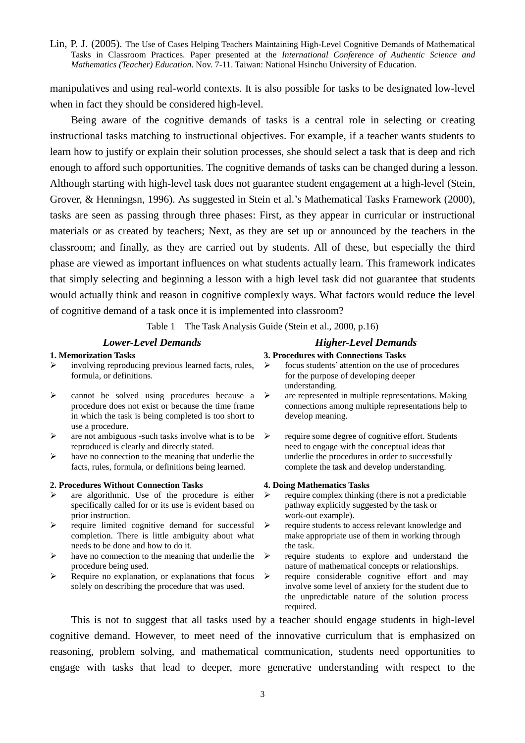manipulatives and using real-world contexts. It is also possible for tasks to be designated low-level when in fact they should be considered high-level.

Being aware of the cognitive demands of tasks is a central role in selecting or creating instructional tasks matching to instructional objectives. For example, if a teacher wants students to learn how to justify or explain their solution processes, she should select a task that is deep and rich enough to afford such opportunities. The cognitive demands of tasks can be changed during a lesson. Although starting with high-level task does not guarantee student engagement at a high-level (Stein, Grover, & Henningsn, 1996). As suggested in Stein et al.'s Mathematical Tasks Framework (2000), tasks are seen as passing through three phases: First, as they appear in curricular or instructional materials or as created by teachers; Next, as they are set up or announced by the teachers in the classroom; and finally, as they are carried out by students. All of these, but especially the third phase are viewed as important influences on what students actually learn. This framework indicates that simply selecting and beginning a lesson with a high level task did not guarantee that students would actually think and reason in cognitive complexly ways. What factors would reduce the level of cognitive demand of a task once it is implemented into classroom?

Table 1 The Task Analysis Guide (Stein et al., 2000, p.16)

# *Lower-Level Demands Higher-Level Demands*

#### **1. Memorization Tasks 3. Procedures with Connections Tasks**

- involving reproducing previous learned facts, rules, formula, or definitions.
- $\triangleright$  cannot be solved using procedures because a  $\triangleright$ procedure does not exist or because the time frame in which the task is being completed is too short to use a procedure.
- $\triangleright$  are not ambiguous -such tasks involve what is to be  $\triangleright$ reproduced is clearly and directly stated.
- $\triangleright$  have no connection to the meaning that underlie the facts, rules, formula, or definitions being learned.

#### **2. Procedures Without Connection Tasks 4. Doing Mathematics Tasks**

- are algorithmic. Use of the procedure is either specifically called for or its use is evident based on prior instruction.
- > require limited cognitive demand for successful completion. There is little ambiguity about what needs to be done and how to do it.
- $\triangleright$  have no connection to the meaning that underlie the procedure being used.
- $\triangleright$  Require no explanation, or explanations that focus  $\triangleright$ solely on describing the procedure that was used.

- $\triangleright$  focus students' attention on the use of procedures
- for the purpose of developing deeper understanding.
- are represented in multiple representations. Making connections among multiple representations help to develop meaning.
- require some degree of cognitive effort. Students need to engage with the conceptual ideas that underlie the procedures in order to successfully complete the task and develop understanding.

- require complex thinking (there is not a predictable pathway explicitly suggested by the task or work-out example).
- > require students to access relevant knowledge and make appropriate use of them in working through the task.
- require students to explore and understand the nature of mathematical concepts or relationships.
	- require considerable cognitive effort and may involve some level of anxiety for the student due to the unpredictable nature of the solution process required.

This is not to suggest that all tasks used by a teacher should engage students in high-level cognitive demand. However, to meet need of the innovative curriculum that is emphasized on reasoning, problem solving, and mathematical communication, students need opportunities to engage with tasks that lead to deeper, more generative understanding with respect to the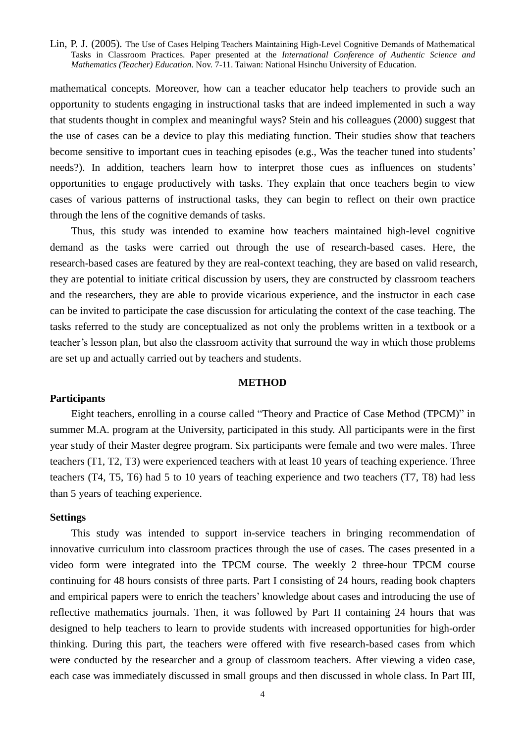mathematical concepts. Moreover, how can a teacher educator help teachers to provide such an opportunity to students engaging in instructional tasks that are indeed implemented in such a way that students thought in complex and meaningful ways? Stein and his colleagues (2000) suggest that the use of cases can be a device to play this mediating function. Their studies show that teachers become sensitive to important cues in teaching episodes (e.g., Was the teacher tuned into students' needs?). In addition, teachers learn how to interpret those cues as influences on students' opportunities to engage productively with tasks. They explain that once teachers begin to view cases of various patterns of instructional tasks, they can begin to reflect on their own practice through the lens of the cognitive demands of tasks.

Thus, this study was intended to examine how teachers maintained high-level cognitive demand as the tasks were carried out through the use of research-based cases. Here, the research-based cases are featured by they are real-context teaching, they are based on valid research, they are potential to initiate critical discussion by users, they are constructed by classroom teachers and the researchers, they are able to provide vicarious experience, and the instructor in each case can be invited to participate the case discussion for articulating the context of the case teaching. The tasks referred to the study are conceptualized as not only the problems written in a textbook or a teacher'slesson plan, but also the classroom activity that surround the way in which those problems are set up and actually carried out by teachers and students.

# **METHOD**

#### **Participants**

Eight teachers, enrolling in a course called "Theory and Practice of Case Method (TPCM)"in summer M.A. program at the University, participated in this study. All participants were in the first year study of their Master degree program. Six participants were female and two were males. Three teachers (T1, T2, T3) were experienced teachers with at least 10 years of teaching experience. Three teachers (T4, T5, T6) had 5 to 10 years of teaching experience and two teachers (T7, T8) had less than 5 years of teaching experience.

#### **Settings**

This study was intended to support in-service teachers in bringing recommendation of innovative curriculum into classroom practices through the use of cases. The cases presented in a video form were integrated into the TPCM course. The weekly 2 three-hour TPCM course continuing for 48 hours consists of three parts. Part I consisting of 24 hours, reading book chapters and empirical papers were to enrich the teachers'knowledge about cases and introducing the use of reflective mathematics journals. Then, it was followed by Part II containing 24 hours that was designed to help teachers to learn to provide students with increased opportunities for high-order thinking. During this part, the teachers were offered with five research-based cases from which were conducted by the researcher and a group of classroom teachers. After viewing a video case, each case was immediately discussed in small groups and then discussed in whole class. In Part III,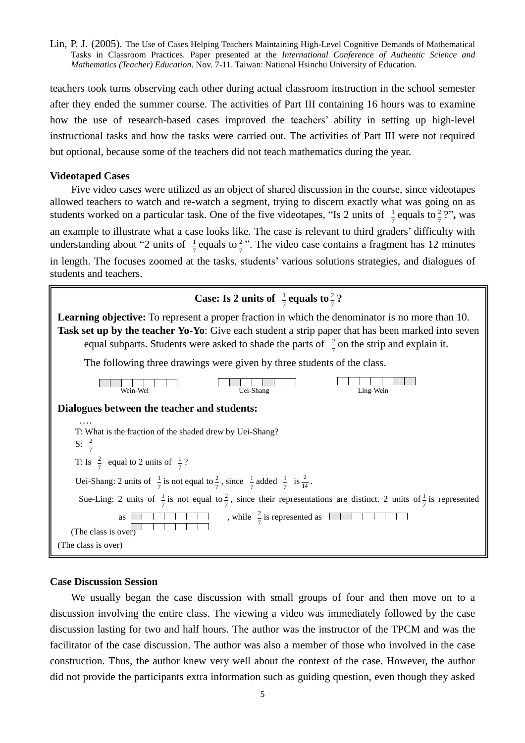teachers took turns observing each other during actual classroom instruction in the school semester after they ended the summer course. The activities of Part III containing 16 hours was to examine how the use of research-based cases improved the teachers'ability in setting up high-level instructional tasks and how the tasks were carried out. The activities of Part III were not required but optional, because some of the teachers did not teach mathematics during the year.

#### **Videotaped Cases**

Five video cases were utilized as an object of shared discussion in the course, since videotapes allowed teachers to watch and re-watch a segment, trying to discern exactly what was going on as students worked on a particular task. One of the five videotapes, "Is 2 units of  $\frac{1}{7}$  e  $\frac{1}{7}$  equals to  $\frac{2}{7}$  ?",  $\frac{2}{7}$  ?", was an example to illustrate what a case looks like. The case is relevant to third graders'difficulty with understanding about "2 units of  $\frac{1}{7}$  e  $\frac{1}{7}$  equals to  $\frac{2}{7}$ ". The video case contains a fragment has 12 minutes in length. The focuses zoomed at the tasks, students'various solutions strategies, and dialogues of students and teachers.



#### **Case Discussion Session**

We usually began the case discussion with small groups of four and then move on to a discussion involving the entire class. The viewing a video was immediately followed by the case discussion lasting for two and half hours. The author was the instructor of the TPCM and was the facilitator of the case discussion. The author was also a member of those who involved in the case construction. Thus, the author knew very well about the context of the case. However, the author did not provide the participants extra information such as guiding question, even though they asked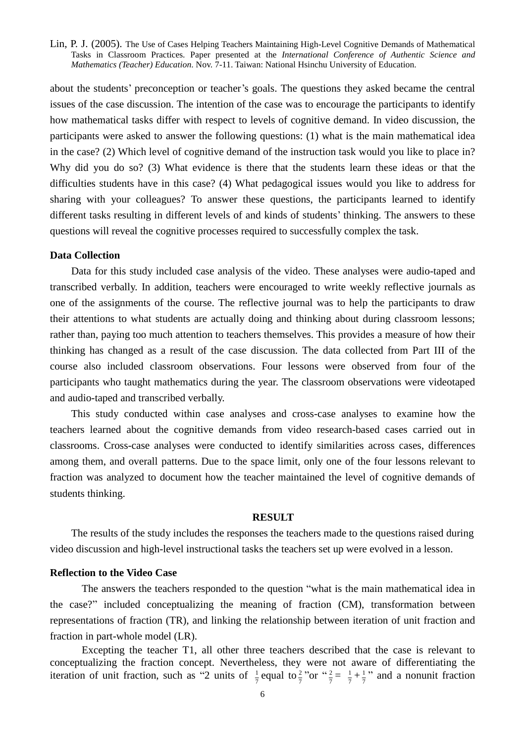about the students'preconception or teacher's goals. The questions they asked became the central issues of the case discussion. The intention of the case was to encourage the participants to identify how mathematical tasks differ with respect to levels of cognitive demand. In video discussion, the participants were asked to answer the following questions: (1) what is the main mathematical idea in the case? (2) Which level of cognitive demand of the instruction task would you like to place in? Why did you do so? (3) What evidence is there that the students learn these ideas or that the difficulties students have in this case? (4) What pedagogical issues would you like to address for sharing with your colleagues? To answer these questions, the participants learned to identify different tasks resulting in different levels of and kinds of students' thinking. The answers to these questions will reveal the cognitive processes required to successfully complex the task.

#### **Data Collection**

Data for this study included case analysis of the video. These analyses were audio-taped and transcribed verbally. In addition, teachers were encouraged to write weekly reflective journals as one of the assignments of the course. The reflective journal was to help the participants to draw their attentions to what students are actually doing and thinking about during classroom lessons; rather than, paying too much attention to teachers themselves. This provides a measure of how their thinking has changed as a result of the case discussion. The data collected from Part III of the course also included classroom observations. Four lessons were observed from four of the participants who taught mathematics during the year. The classroom observations were videotaped and audio-taped and transcribed verbally.

This study conducted within case analyses and cross-case analyses to examine how the teachers learned about the cognitive demands from video research-based cases carried out in classrooms. Cross-case analyses were conducted to identify similarities across cases, differences among them, and overall patterns. Due to the space limit, only one of the four lessons relevant to fraction was analyzed to document how the teacher maintained the level of cognitive demands of students thinking.

# **RESULT**

The results of the study includes the responses the teachers made to the questions raised during video discussion and high-level instructional tasks the teachers set up were evolved in a lesson.

#### **Reflection to the Video Case**

The answers the teachers responded to the question "what is the main mathematical idea in the case?" included conceptualizing the meaning of fraction (CM), transformation between representations of fraction (TR), and linking the relationship between iteration of unit fraction and fraction in part-whole model (LR).

Excepting the teacher T1, all other three teachers described that the case is relevant to conceptualizing the fraction concept. Nevertheless, they were not aware of differentiating the iteration of unit fraction, such as "2 units of  $\frac{1}{7}$  e  $\frac{1}{7}$  equal to  $\frac{2}{7}$  "or " $\frac{2}{7} = \frac{1}{7} + \frac{1}{7}$ " and a nonunit fraction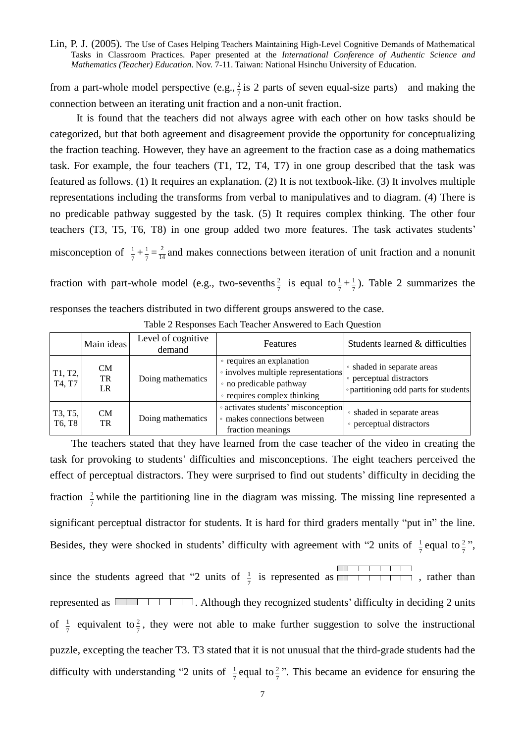from a part-whole model perspective  $(e.g., \frac{2}{7})$  $\frac{2}{5}$  is 2 parts of seven equal-size parts) and making the connection between an iterating unit fraction and a non-unit fraction.

It is found that the teachers did not always agree with each other on how tasks should be categorized, but that both agreement and disagreement provide the opportunity for conceptualizing the fraction teaching. However, they have an agreement to the fraction case as a doing mathematics task. For example, the four teachers (T1, T2, T4, T7) in one group described that the task was featured as follows. (1) It requires an explanation. (2) It is not textbook-like. (3) It involves multiple representations including the transforms from verbal to manipulatives and to diagram. (4) There is no predicable pathway suggested by the task. (5) It requires complex thinking. The other four teachers (T3, T5, T6, T8) in one group added two more features. The task activates students' misconception of  $\frac{1}{7} + \frac{1}{7} = \frac{2}{14}$  and makes connections between iteration of unit fraction and a nonunit

fraction with part-whole model (e.g., two-sevenths  $\frac{2}{7}$  $\frac{2}{7}$  is equal to  $\frac{1}{7} + \frac{1}{7}$  $\frac{1}{2}$ ). Table 2 summarizes the

| responses the teachers distributed in two different groups answered to the case. |  |
|----------------------------------------------------------------------------------|--|
|----------------------------------------------------------------------------------|--|

|                   | Main ideas            | Level of cognitive<br>demand | Features                                                                                                                   | Students learned & difficulties                                                               |
|-------------------|-----------------------|------------------------------|----------------------------------------------------------------------------------------------------------------------------|-----------------------------------------------------------------------------------------------|
| T1, T2,<br>T4, T7 | <b>CM</b><br>TR<br>LR | Doing mathematics            | • requires an explanation<br>• involves multiple representations<br>• no predicable pathway<br>• requires complex thinking | • shaded in separate areas<br>perceptual distractors<br>• partitioning odd parts for students |
| T3, T5,<br>T6, T8 | <b>CM</b><br>TR       | Doing mathematics            | • activates students' misconception<br>• makes connections between<br>fraction meanings                                    | • shaded in separate areas<br>• perceptual distractors                                        |

Table 2 Responses Each Teacher Answered to Each Question

The teachers stated that they have learned from the case teacher of the video in creating the task for provoking to students'difficulties and misconceptions. The eight teachers perceived the effect of perceptual distractors. They were surprised to find out students'difficulty in deciding the fraction  $\frac{2}{7}$  while the partitioning line in the diagram was missing. The missing line represented a significant perceptual distractor for students. It is hard for third graders mentally "put in" the line. Besides, they were shocked in students' difficulty with agreement with "2 units of  $\frac{1}{7}$  e  $\frac{1}{7}$  equal to  $\frac{2}{7}$ ", since the students agreed that "2 units of  $\frac{1}{7}$ "  $\frac{1}{5}$  is represented as  $\sqrt{1 + 1 + 1}$ , rather than represented as  $\Box$   $\Box$   $\Box$   $\Box$   $\Box$  Although they recognized students' difficulty in deciding 2 units of  $\frac{1}{7}$  $\frac{1}{7}$  equivalent to  $\frac{2}{7}$ , t  $\frac{2}{5}$ , they were not able to make further suggestion to solve the instructional puzzle, excepting the teacher T3. T3 stated that it is not unusual that the third-grade students had the difficulty with understanding "2 units of  $\frac{1}{7}$ e  $\frac{1}{7}$  equal to  $\frac{2}{7}$ ". This became an evidence for ensuring the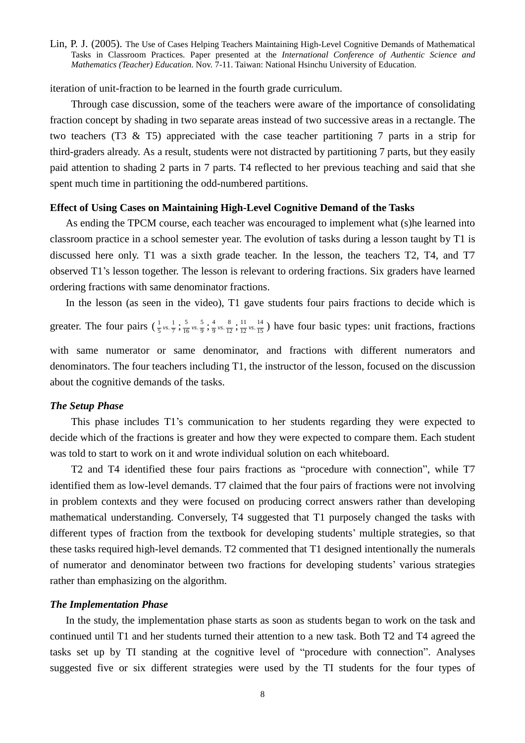iteration of unit-fraction to be learned in the fourth grade curriculum.

Through case discussion, some of the teachers were aware of the importance of consolidating fraction concept by shading in two separate areas instead of two successive areas in a rectangle. The two teachers (T3 & T5) appreciated with the case teacher partitioning 7 parts in a strip for third-graders already. As a result, students were not distracted by partitioning 7 parts, but they easily paid attention to shading 2 parts in 7 parts. T4 reflected to her previous teaching and said that she spent much time in partitioning the odd-numbered partitions.

#### **Effect of Using Cases on Maintaining High-Level Cognitive Demand of the Tasks**

As ending the TPCM course, each teacher was encouraged to implement what (s)he learned into classroom practice in a school semester year. The evolution of tasks during a lesson taught by T1 is discussed here only. T1 was a sixth grade teacher. In the lesson, the teachers T2, T4, and T7 observed T1's lesson together. The lesson is relevant to ordering fractions. Six graders have learned ordering fractions with same denominator fractions.

In the lesson (as seen in the video), T1 gave students four pairs fractions to decide which is greater. The four pairs  $(\frac{1}{5} \nu s. \frac{1}{7})$  $\frac{1}{5}$  vs.  $\frac{1}{7}$  ;  $\frac{5}{16}$  vs.  $\frac{5}{9}$  $rac{5}{16}$  vs.  $rac{5}{9}$  $rac{5}{16}$  vs.  $rac{5}{9}$ ;  $rac{4}{9}$  vs.  $rac{8}{12}$  $\frac{4}{9}$  vs.  $\frac{8}{12}$  $\frac{4}{9}$  vs.  $\frac{8}{12}$  ;  $\frac{11}{12}$  vs.  $\frac{14}{15}$  $\frac{11}{12}$  vs.  $\frac{14}{15}$  $\frac{11}{12}$  vs.  $\frac{14}{15}$ ) have four basic types: unit fractions, fractions with same numerator or same denominator, and fractions with different numerators and denominators. The four teachers including T1, the instructor of the lesson, focused on the discussion about the cognitive demands of the tasks.

### *The Setup Phase*

This phase includes T1's communication to her students regarding they were expected to decide which of the fractions is greater and how they were expected to compare them. Each student was told to start to work on it and wrote individual solution on each whiteboard.

T2 and T4 identified these four pairs fractions as "procedure with connection", while T7 identified them as low-level demands. T7 claimed that the four pairs of fractions were not involving in problem contexts and they were focused on producing correct answers rather than developing mathematical understanding. Conversely, T4 suggested that T1 purposely changed the tasks with different types of fraction from the textbook for developing students'multiple strategies, so that these tasks required high-level demands. T2 commented that T1 designed intentionally the numerals of numerator and denominator between two fractions for developing students'various strategies rather than emphasizing on the algorithm.

# *The Implementation Phase*

In the study, the implementation phase starts as soon as students began to work on the task and continued until T1 and her students turned their attention to a new task. Both T2 and T4 agreed the tasks set up by TI standing at the cognitive level of "procedure with connection". Analyses suggested five or six different strategies were used by the TI students for the four types of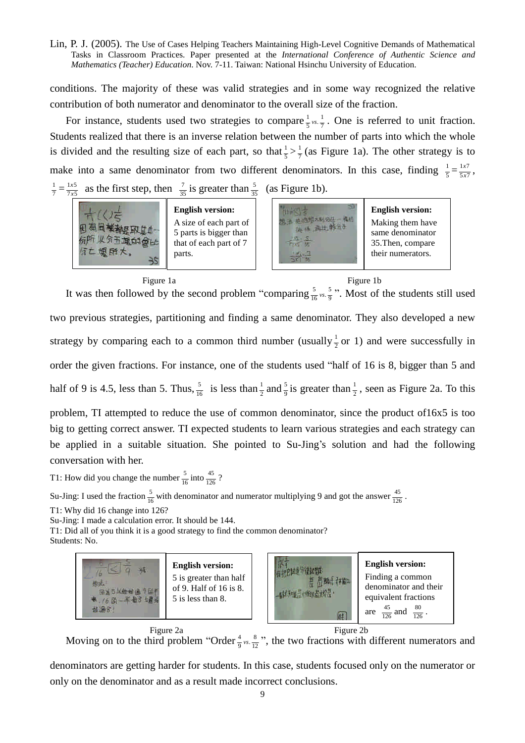conditions. The majority of these was valid strategies and in some way recognized the relative contribution of both numerator and denominator to the overall size of the fraction.

For instance, students used two strategies to compare  $\frac{1}{5}$  vs.  $\frac{1}{7}$  $\frac{1}{5}$ <sub>*vs*  $\frac{1}{7}$ </sub>. One is referred to unit fraction. Students realized that there is an inverse relation between the number of parts into which the whole is divided and the resulting size of each part, so that  $\frac{1}{5} > \frac{1}{7}$  (as Figure 1a). The other strategy is to make into a same denominator from two different denominators. In this case, finding  $\frac{1}{5} = \frac{1}{5\times7}$ *x*  $\frac{x}{x^7}$ , 7  $\frac{1}{7} = \frac{1 \times 5}{7 \times 5}$ *x*  $\frac{x}{x^5}$  as the first step, then  $\frac{7}{35}$  is greater than  $\frac{5}{35}$  (as Figure 1b).



#### Figure 1a



#### Figure 1b

It was then followed by the second problem "comparing  $\frac{5}{16}$  vs.  $\frac{5}{9}$  $\frac{5}{16}$  vs.  $\frac{5}{9}$  ". Most of the students still used two previous strategies, partitioning and finding a same denominator. They also developed a new strategy by comparing each to a common third number (usually  $\frac{1}{2}$  or 1) and were successfully in order the given fractions. For instance, one of the students used "half of 16 is 8, bigger than 5 and half of 9 is 4.5, less than 5. Thus,  $\frac{5}{16}$  is less than  $\frac{1}{2}$  and  $\frac{5}{9}$  is greater than  $\frac{1}{2}$ , seen as Figure 2a. To this problem, TI attempted to reduce the use of common denominator, since the product of16x5 is too big to getting correct answer. TI expected students to learn various strategies and each strategy can be applied in a suitable situation. She pointed to Su-Jing's solution and had the following

conversation with her.

T1: How did you change the number  $\frac{5}{16}$  into  $\frac{45}{126}$ ?

Su-Jing: I used the fraction  $\frac{5}{16}$  with denominator and numerator multiplying 9 and got the answer  $\frac{45}{126}$ .

T1: Why did 16 change into 126?

Su-Jing: I made a calculation error. It should be 144.

T1: Did all of you think it is a good strategy to find the common denominator? Students: No.



Moving on to the third problem "Order  $\frac{4}{9}$  vs.  $\frac{8}{12}$  $\frac{4}{9}$  vs.  $\frac{8}{12}$  ", the two fractions with different numerators and Figure 2a

denominators are getting harder for students. In this case, students focused only on the numerator or only on the denominator and as a result made incorrect conclusions.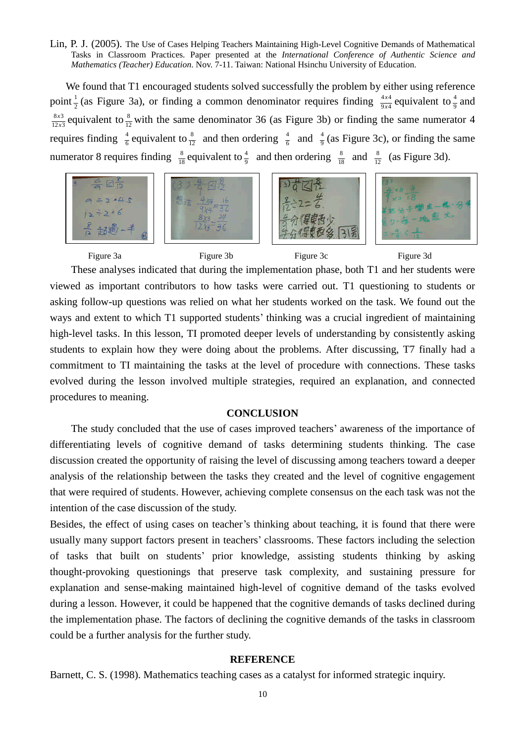We found that T1 encouraged students solved successfully the problem by either using reference point  $\frac{1}{2}$  (as Figure 3a), or finding a common denominator requires finding  $\frac{4x^4}{9x^4}$ *x*  $\frac{x^4}{x^4}$  equivalent to  $\frac{4}{9}$  and  $12x3$  $8x3$ *x*  $\frac{x^3}{x^3}$  equivalent to  $\frac{8}{12}$  with the same denominator 36 (as Figure 3b) or finding the same numerator 4 requires finding  $\frac{4}{6}$  equivalent to  $\frac{8}{12}$  and then ordering  $\frac{4}{6}$  and  $\frac{4}{9}$  (as Figure 3c), or finding the same numerator 8 requires finding  $\frac{8}{18}$  equivalent to  $\frac{4}{9}$  and then ordering  $\frac{8}{18}$  and  $\frac{8}{12}$  (as Figure 3d).



These analyses indicated that during the implementation phase, both T1 and her students were viewed as important contributors to how tasks were carried out. T1 questioning to students or asking follow-up questions was relied on what her students worked on the task. We found out the ways and extent to which T1 supported students' thinking was a crucial ingredient of maintaining high-level tasks. In this lesson, TI promoted deeper levels of understanding by consistently asking students to explain how they were doing about the problems. After discussing, T7 finally had a commitment to TI maintaining the tasks at the level of procedure with connections. These tasks evolved during the lesson involved multiple strategies, required an explanation, and connected procedures to meaning.

#### **CONCLUSION**

The study concluded that the use of cases improved teachers'awareness of the importance of differentiating levels of cognitive demand of tasks determining students thinking. The case discussion created the opportunity of raising the level of discussing among teachers toward a deeper analysis of the relationship between the tasks they created and the level of cognitive engagement that were required of students. However, achieving complete consensus on the each task was not the intention of the case discussion of the study.

Besides, the effect of using cases on teacher's thinking about teaching, it is found that there were usually many support factors present in teachers'classrooms. These factors including the selection of tasks that built on students'prior knowledge, assisting students thinking by asking thought-provoking questionings that preserve task complexity, and sustaining pressure for explanation and sense-making maintained high-level of cognitive demand of the tasks evolved during a lesson. However, it could be happened that the cognitive demands of tasks declined during the implementation phase. The factors of declining the cognitive demands of the tasks in classroom could be a further analysis for the further study.

#### **REFERENCE**

Barnett, C. S. (1998). Mathematics teaching cases as a catalyst for informed strategic inquiry.